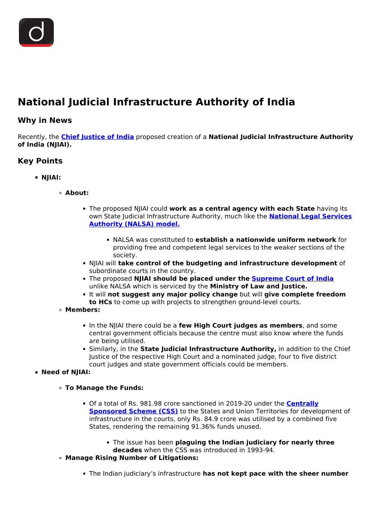

# **National Judicial Infrastructure Authority of India**

### **Why in News**

Recently, the **[Chief Justice of India](/daily-updates/daily-news-analysis/n-v-ramana-48th-chief-justice-of-india)** proposed creation of a **National Judicial Infrastructure Authority of India (NJIAI).**

# **Key Points**

- **NJIAI:**
	- **About:**
		- The proposed NJIAI could **work as a central agency with each State** having its own State Judicial Infrastructure Authority, much like the **[National Legal Services](/daily-updates/daily-news-analysis/national-legal-services-day) [Authority \(NALSA\) model.](/daily-updates/daily-news-analysis/national-legal-services-day)**
			- NALSA was constituted to **establish a nationwide uniform network** for providing free and competent legal services to the weaker sections of the society.
		- NJIAI will **take control of the budgeting and infrastructure development** of subordinate courts in the country.
		- The proposed **NJIAI should be placed under the [Supreme Court of India](/important-institutions/drishti-specials-important-institutions-national-institutions/supreme-court-of-india)** unlike NALSA which is serviced by the **Ministry of Law and Justice.**
		- It will **not suggest any major policy change** but will **give complete freedom to HCs** to come up with projects to strengthen ground-level courts.
	- **Members:**
		- In the NJIAI there could be a **few High Court judges as members**, and some central government officials because the centre must also know where the funds are being utilised.
		- Similarly, in the **State Judicial Infrastructure Authority,** in addition to the Chief Justice of the respective High Court and a nominated judge, four to five district court judges and state government officials could be members.

#### **Need of NJIAI:**

- **To Manage the Funds:**
	- Of a total of Rs. 981.98 crore sanctioned in 2019-20 under the **[Centrally](/daily-updates/daily-news-editorials/reforming-centrally-sponsored-scheme) [Sponsored Scheme \(CSS\)](/daily-updates/daily-news-editorials/reforming-centrally-sponsored-scheme)** to the States and Union Territories for development of infrastructure in the courts, only Rs. 84.9 crore was utilised by a combined five States, rendering the remaining 91.36% funds unused.
		- The issue has been **plaguing the Indian judiciary for nearly three**
		- **decades** when the CSS was introduced in 1993-94.
- **Manage Rising Number of Litigations:**
	- The Indian judiciary's infrastructure **has not kept pace with the sheer number**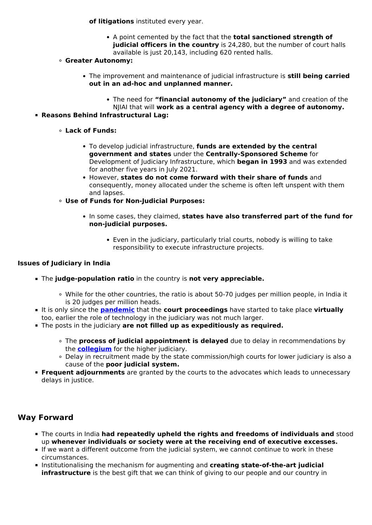**of litigations** instituted every year.

A point cemented by the fact that the **total sanctioned strength of judicial officers in the country** is 24,280, but the number of court halls available is just 20,143, including 620 rented halls.

#### **Greater Autonomy:**

- The improvement and maintenance of judicial infrastructure is **still being carried out in an ad-hoc and unplanned manner.**
	- The need for **"financial autonomy of the judiciary"** and creation of the NJIAI that will **work as a central agency with a degree of autonomy.**

#### **Reasons Behind Infrastructural Lag:**

- **Lack of Funds:**
	- To develop judicial infrastructure, **funds are extended by the central government and states** under the **Centrally-Sponsored Scheme** for Development of Judiciary Infrastructure, which **began in 1993** and was extended for another five years in July 2021.
	- However, **states do not come forward with their share of funds** and consequently, money allocated under the scheme is often left unspent with them and lapses.
- **Use of Funds for Non-Judicial Purposes:**
	- In some cases, they claimed, **states have also transferred part of the fund for non-judicial purposes.**
		- Even in the judiciary, particularly trial courts, nobody is willing to take responsibility to execute infrastructure projects.

#### **Issues of Judiciary in India**

- The **judge-population ratio** in the country is **not very appreciable.**
	- While for the other countries, the ratio is about 50-70 judges per million people, in India it is 20 judges per million heads.
- It is only since the **[pandemic](/loksabha-rajyasabha-discussions/the-big-picture-india-s-covid-pandemic-management)** that the **court proceedings** have started to take place **virtually** too, earlier the role of technology in the judiciary was not much larger.
- The posts in the judiciary **are not filled up as expeditiously as required.**
	- The **process of judicial appointment is delayed** due to delay in recommendations by the **[collegium](/daily-updates/daily-news-analysis/collegium-system-for-the-appointment-of-judges#:~:text=The%20SC%20collegium%20is%20headed,CJI%20and%20the%20SC%20collegium.)** for the higher judiciary.
	- Delay in recruitment made by the state commission/high courts for lower judiciary is also a cause of the **poor judicial system.**
- **Frequent adjournments** are granted by the courts to the advocates which leads to unnecessary delays in justice.

## **Way Forward**

- The courts in India **had repeatedly upheld the rights and freedoms of individuals and** stood up **whenever individuals or society were at the receiving end of executive excesses.**
- If we want a different outcome from the judicial system, we cannot continue to work in these circumstances.
- **Institutionalising the mechanism for augmenting and creating state-of-the-art judicial infrastructure** is the best gift that we can think of giving to our people and our country in